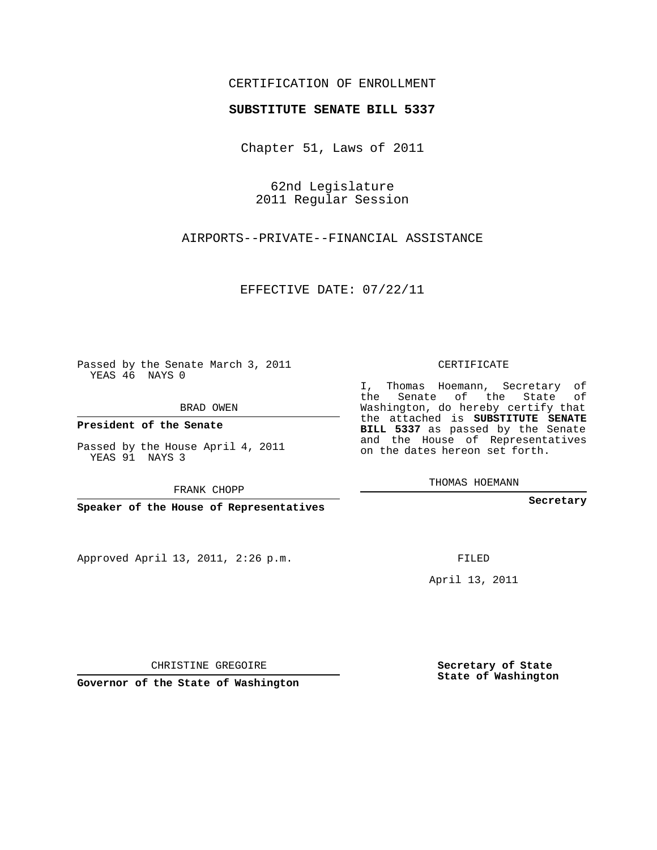## CERTIFICATION OF ENROLLMENT

## **SUBSTITUTE SENATE BILL 5337**

Chapter 51, Laws of 2011

62nd Legislature 2011 Regular Session

AIRPORTS--PRIVATE--FINANCIAL ASSISTANCE

EFFECTIVE DATE: 07/22/11

Passed by the Senate March 3, 2011 YEAS 46 NAYS 0

BRAD OWEN

**President of the Senate**

Passed by the House April 4, 2011 YEAS 91 NAYS 3

FRANK CHOPP

**Speaker of the House of Representatives**

Approved April 13, 2011, 2:26 p.m.

CERTIFICATE

I, Thomas Hoemann, Secretary of the Senate of the State of Washington, do hereby certify that the attached is **SUBSTITUTE SENATE BILL 5337** as passed by the Senate and the House of Representatives on the dates hereon set forth.

THOMAS HOEMANN

**Secretary**

FILED

April 13, 2011

CHRISTINE GREGOIRE

**Governor of the State of Washington**

**Secretary of State State of Washington**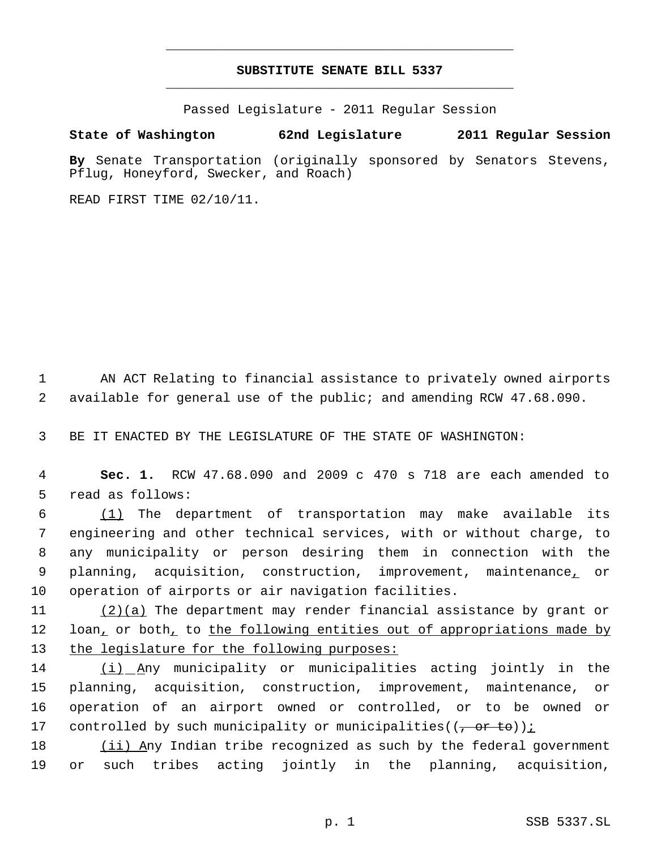## **SUBSTITUTE SENATE BILL 5337** \_\_\_\_\_\_\_\_\_\_\_\_\_\_\_\_\_\_\_\_\_\_\_\_\_\_\_\_\_\_\_\_\_\_\_\_\_\_\_\_\_\_\_\_\_

\_\_\_\_\_\_\_\_\_\_\_\_\_\_\_\_\_\_\_\_\_\_\_\_\_\_\_\_\_\_\_\_\_\_\_\_\_\_\_\_\_\_\_\_\_

Passed Legislature - 2011 Regular Session

## **State of Washington 62nd Legislature 2011 Regular Session**

**By** Senate Transportation (originally sponsored by Senators Stevens, Pflug, Honeyford, Swecker, and Roach)

READ FIRST TIME 02/10/11.

1 AN ACT Relating to financial assistance to privately owned airports 2 available for general use of the public; and amending RCW 47.68.090.

3 BE IT ENACTED BY THE LEGISLATURE OF THE STATE OF WASHINGTON:

 4 **Sec. 1.** RCW 47.68.090 and 2009 c 470 s 718 are each amended to 5 read as follows:

 (1) The department of transportation may make available its engineering and other technical services, with or without charge, to any municipality or person desiring them in connection with the planning, acquisition, construction, improvement, maintenance, or operation of airports or air navigation facilities.

11 (2)(a) The department may render financial assistance by grant or 12 loan, or both, to the following entities out of appropriations made by 13 the legislature for the following purposes:

 (i) Any municipality or municipalities acting jointly in the planning, acquisition, construction, improvement, maintenance, or operation of an airport owned or controlled, or to be owned or 17 controlled by such municipality or municipalities( $(\frac{\pi}{2} + \frac{\pi}{2})$ ):

18 (ii) Any Indian tribe recognized as such by the federal government 19 or such tribes acting jointly in the planning, acquisition,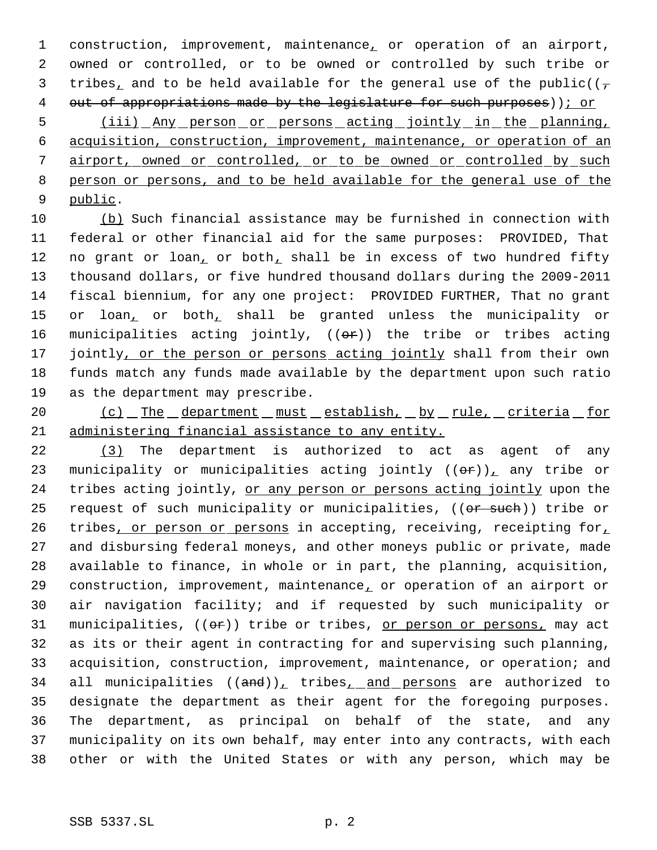construction, improvement, maintenance, or operation of an airport, owned or controlled, or to be owned or controlled by such tribe or 3 tribes, and to be held available for the general use of the public( $(\tau$ 4 out of appropriations made by the legislature for such purposes)); or

 (iii) Any person or persons acting jointly in the planning, acquisition, construction, improvement, maintenance, or operation of an airport, owned or controlled, or to be owned or controlled by such person or persons, and to be held available for the general use of the public.

 (b) Such financial assistance may be furnished in connection with federal or other financial aid for the same purposes: PROVIDED, That 12 no grant or loan, or both, shall be in excess of two hundred fifty thousand dollars, or five hundred thousand dollars during the 2009-2011 fiscal biennium, for any one project: PROVIDED FURTHER, That no grant 15 or loan, or both, shall be granted unless the municipality or 16 municipalities acting jointly,  $((\theta \cdot \mathbf{r}))$  the tribe or tribes acting 17 jointly, or the person or persons acting jointly shall from their own funds match any funds made available by the department upon such ratio as the department may prescribe.

20 (c) The department must establish, by rule, criteria for administering financial assistance to any entity.

 (3) The department is authorized to act as agent of any 23 municipality or municipalities acting jointly  $((\theta \cdot \hat{r}))$ , any tribe or 24 tribes acting jointly, or any person or persons acting jointly upon the 25 request of such municipality or municipalities, ((or such)) tribe or 26 tribes, or person or persons in accepting, receiving, receipting for, and disbursing federal moneys, and other moneys public or private, made available to finance, in whole or in part, the planning, acquisition, construction, improvement, maintenance, or operation of an airport or air navigation facility; and if requested by such municipality or 31 municipalities,  $((\theta \cdot \hat{r}))$  tribe or tribes, <u>or person or persons,</u> may act as its or their agent in contracting for and supervising such planning, acquisition, construction, improvement, maintenance, or operation; and 34 all municipalities  $((and))_+$  tribes<sub> $t$ </sub> and persons are authorized to designate the department as their agent for the foregoing purposes. The department, as principal on behalf of the state, and any municipality on its own behalf, may enter into any contracts, with each other or with the United States or with any person, which may be